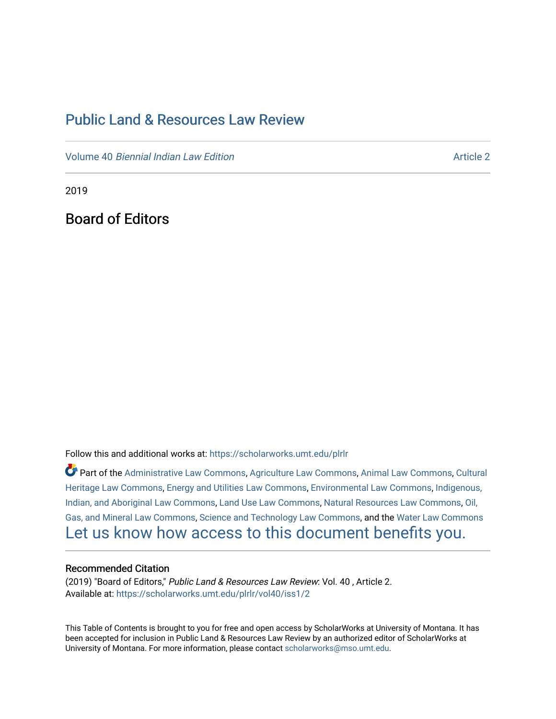# [Public Land & Resources Law Review](https://scholarworks.umt.edu/plrlr)

Volume 40 [Biennial Indian Law Edition](https://scholarworks.umt.edu/plrlr/vol40) Article 2

2019

Board of Editors

Follow this and additional works at: [https://scholarworks.umt.edu/plrlr](https://scholarworks.umt.edu/plrlr?utm_source=scholarworks.umt.edu%2Fplrlr%2Fvol40%2Fiss1%2F2&utm_medium=PDF&utm_campaign=PDFCoverPages) 

Part of the [Administrative Law Commons,](http://network.bepress.com/hgg/discipline/579?utm_source=scholarworks.umt.edu%2Fplrlr%2Fvol40%2Fiss1%2F2&utm_medium=PDF&utm_campaign=PDFCoverPages) [Agriculture Law Commons](http://network.bepress.com/hgg/discipline/581?utm_source=scholarworks.umt.edu%2Fplrlr%2Fvol40%2Fiss1%2F2&utm_medium=PDF&utm_campaign=PDFCoverPages), [Animal Law Commons](http://network.bepress.com/hgg/discipline/831?utm_source=scholarworks.umt.edu%2Fplrlr%2Fvol40%2Fiss1%2F2&utm_medium=PDF&utm_campaign=PDFCoverPages), [Cultural](http://network.bepress.com/hgg/discipline/1384?utm_source=scholarworks.umt.edu%2Fplrlr%2Fvol40%2Fiss1%2F2&utm_medium=PDF&utm_campaign=PDFCoverPages)  [Heritage Law Commons](http://network.bepress.com/hgg/discipline/1384?utm_source=scholarworks.umt.edu%2Fplrlr%2Fvol40%2Fiss1%2F2&utm_medium=PDF&utm_campaign=PDFCoverPages), [Energy and Utilities Law Commons,](http://network.bepress.com/hgg/discipline/891?utm_source=scholarworks.umt.edu%2Fplrlr%2Fvol40%2Fiss1%2F2&utm_medium=PDF&utm_campaign=PDFCoverPages) [Environmental Law Commons](http://network.bepress.com/hgg/discipline/599?utm_source=scholarworks.umt.edu%2Fplrlr%2Fvol40%2Fiss1%2F2&utm_medium=PDF&utm_campaign=PDFCoverPages), [Indigenous,](http://network.bepress.com/hgg/discipline/894?utm_source=scholarworks.umt.edu%2Fplrlr%2Fvol40%2Fiss1%2F2&utm_medium=PDF&utm_campaign=PDFCoverPages)  [Indian, and Aboriginal Law Commons](http://network.bepress.com/hgg/discipline/894?utm_source=scholarworks.umt.edu%2Fplrlr%2Fvol40%2Fiss1%2F2&utm_medium=PDF&utm_campaign=PDFCoverPages), [Land Use Law Commons](http://network.bepress.com/hgg/discipline/852?utm_source=scholarworks.umt.edu%2Fplrlr%2Fvol40%2Fiss1%2F2&utm_medium=PDF&utm_campaign=PDFCoverPages), [Natural Resources Law Commons](http://network.bepress.com/hgg/discipline/863?utm_source=scholarworks.umt.edu%2Fplrlr%2Fvol40%2Fiss1%2F2&utm_medium=PDF&utm_campaign=PDFCoverPages), [Oil,](http://network.bepress.com/hgg/discipline/864?utm_source=scholarworks.umt.edu%2Fplrlr%2Fvol40%2Fiss1%2F2&utm_medium=PDF&utm_campaign=PDFCoverPages) [Gas, and Mineral Law Commons](http://network.bepress.com/hgg/discipline/864?utm_source=scholarworks.umt.edu%2Fplrlr%2Fvol40%2Fiss1%2F2&utm_medium=PDF&utm_campaign=PDFCoverPages), [Science and Technology Law Commons,](http://network.bepress.com/hgg/discipline/875?utm_source=scholarworks.umt.edu%2Fplrlr%2Fvol40%2Fiss1%2F2&utm_medium=PDF&utm_campaign=PDFCoverPages) and the [Water Law Commons](http://network.bepress.com/hgg/discipline/887?utm_source=scholarworks.umt.edu%2Fplrlr%2Fvol40%2Fiss1%2F2&utm_medium=PDF&utm_campaign=PDFCoverPages) [Let us know how access to this document benefits you.](https://goo.gl/forms/s2rGfXOLzz71qgsB2) 

# Recommended Citation

(2019) "Board of Editors," Public Land & Resources Law Review: Vol. 40, Article 2. Available at: [https://scholarworks.umt.edu/plrlr/vol40/iss1/2](https://scholarworks.umt.edu/plrlr/vol40/iss1/2?utm_source=scholarworks.umt.edu%2Fplrlr%2Fvol40%2Fiss1%2F2&utm_medium=PDF&utm_campaign=PDFCoverPages)

This Table of Contents is brought to you for free and open access by ScholarWorks at University of Montana. It has been accepted for inclusion in Public Land & Resources Law Review by an authorized editor of ScholarWorks at University of Montana. For more information, please contact [scholarworks@mso.umt.edu.](mailto:scholarworks@mso.umt.edu)